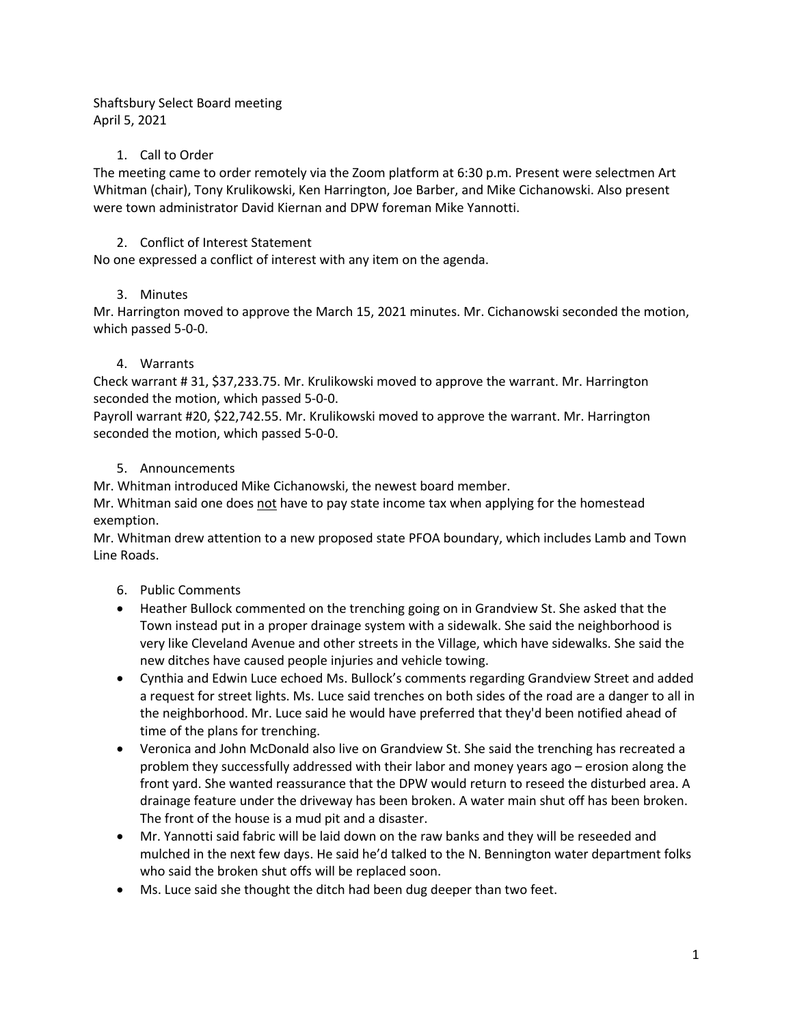Shaftsbury Select Board meeting April 5, 2021

# 1. Call to Order

The meeting came to order remotely via the Zoom platform at 6:30 p.m. Present were selectmen Art Whitman (chair), Tony Krulikowski, Ken Harrington, Joe Barber, and Mike Cichanowski. Also present were town administrator David Kiernan and DPW foreman Mike Yannotti.

# 2. Conflict of Interest Statement

No one expressed a conflict of interest with any item on the agenda.

## 3. Minutes

Mr. Harrington moved to approve the March 15, 2021 minutes. Mr. Cichanowski seconded the motion, which passed 5-0-0.

## 4. Warrants

Check warrant # 31, \$37,233.75. Mr. Krulikowski moved to approve the warrant. Mr. Harrington seconded the motion, which passed 5-0-0.

Payroll warrant #20, \$22,742.55. Mr. Krulikowski moved to approve the warrant. Mr. Harrington seconded the motion, which passed 5-0-0.

## 5. Announcements

Mr. Whitman introduced Mike Cichanowski, the newest board member.

Mr. Whitman said one does not have to pay state income tax when applying for the homestead exemption.

Mr. Whitman drew attention to a new proposed state PFOA boundary, which includes Lamb and Town Line Roads.

- 6. Public Comments
- Heather Bullock commented on the trenching going on in Grandview St. She asked that the Town instead put in a proper drainage system with a sidewalk. She said the neighborhood is very like Cleveland Avenue and other streets in the Village, which have sidewalks. She said the new ditches have caused people injuries and vehicle towing.
- Cynthia and Edwin Luce echoed Ms. Bullock's comments regarding Grandview Street and added a request for street lights. Ms. Luce said trenches on both sides of the road are a danger to all in the neighborhood. Mr. Luce said he would have preferred that they'd been notified ahead of time of the plans for trenching.
- Veronica and John McDonald also live on Grandview St. She said the trenching has recreated a problem they successfully addressed with their labor and money years ago – erosion along the front yard. She wanted reassurance that the DPW would return to reseed the disturbed area. A drainage feature under the driveway has been broken. A water main shut off has been broken. The front of the house is a mud pit and a disaster.
- Mr. Yannotti said fabric will be laid down on the raw banks and they will be reseeded and mulched in the next few days. He said he'd talked to the N. Bennington water department folks who said the broken shut offs will be replaced soon.
- Ms. Luce said she thought the ditch had been dug deeper than two feet.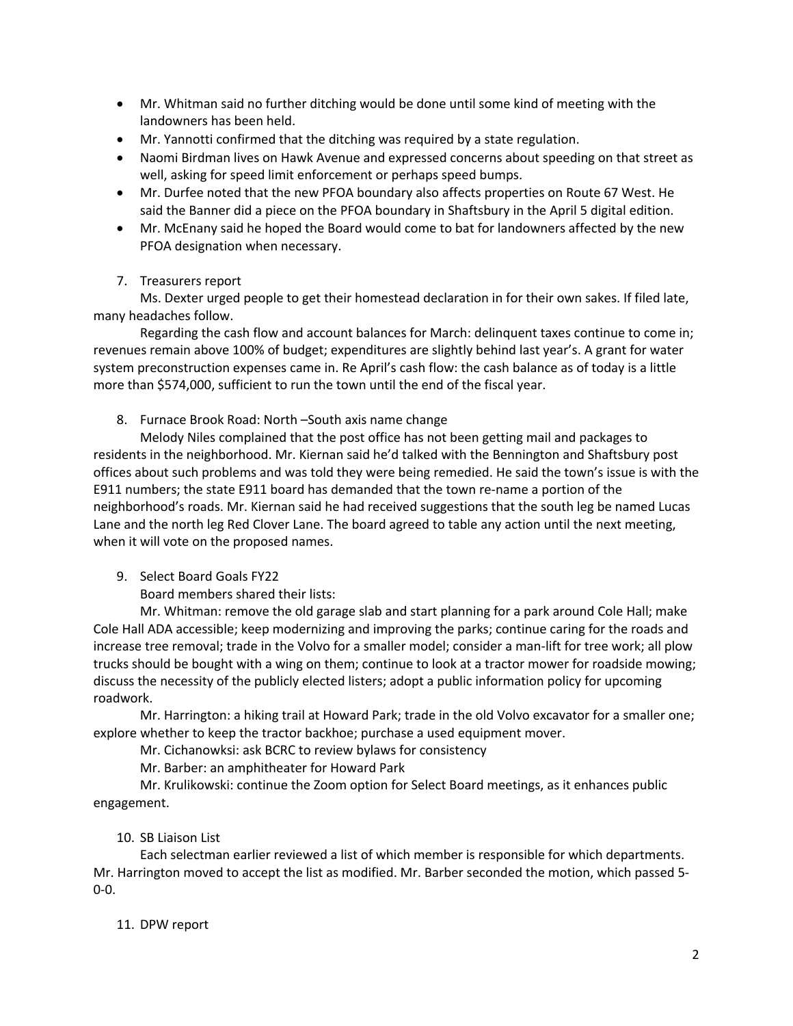- Mr. Whitman said no further ditching would be done until some kind of meeting with the landowners has been held.
- Mr. Yannotti confirmed that the ditching was required by a state regulation.
- Naomi Birdman lives on Hawk Avenue and expressed concerns about speeding on that street as well, asking for speed limit enforcement or perhaps speed bumps.
- Mr. Durfee noted that the new PFOA boundary also affects properties on Route 67 West. He said the Banner did a piece on the PFOA boundary in Shaftsbury in the April 5 digital edition.
- Mr. McEnany said he hoped the Board would come to bat for landowners affected by the new PFOA designation when necessary.
- 7. Treasurers report

Ms. Dexter urged people to get their homestead declaration in for their own sakes. If filed late, many headaches follow.

Regarding the cash flow and account balances for March: delinquent taxes continue to come in; revenues remain above 100% of budget; expenditures are slightly behind last year's. A grant for water system preconstruction expenses came in. Re April's cash flow: the cash balance as of today is a little more than \$574,000, sufficient to run the town until the end of the fiscal year.

8. Furnace Brook Road: North –South axis name change

Melody Niles complained that the post office has not been getting mail and packages to residents in the neighborhood. Mr. Kiernan said he'd talked with the Bennington and Shaftsbury post offices about such problems and was told they were being remedied. He said the town's issue is with the E911 numbers; the state E911 board has demanded that the town re-name a portion of the neighborhood's roads. Mr. Kiernan said he had received suggestions that the south leg be named Lucas Lane and the north leg Red Clover Lane. The board agreed to table any action until the next meeting, when it will vote on the proposed names.

9. Select Board Goals FY22

Board members shared their lists:

Mr. Whitman: remove the old garage slab and start planning for a park around Cole Hall; make Cole Hall ADA accessible; keep modernizing and improving the parks; continue caring for the roads and increase tree removal; trade in the Volvo for a smaller model; consider a man-lift for tree work; all plow trucks should be bought with a wing on them; continue to look at a tractor mower for roadside mowing; discuss the necessity of the publicly elected listers; adopt a public information policy for upcoming roadwork.

Mr. Harrington: a hiking trail at Howard Park; trade in the old Volvo excavator for a smaller one; explore whether to keep the tractor backhoe; purchase a used equipment mover.

Mr. Cichanowksi: ask BCRC to review bylaws for consistency

Mr. Barber: an amphitheater for Howard Park

Mr. Krulikowski: continue the Zoom option for Select Board meetings, as it enhances public engagement.

# 10. SB Liaison List

Each selectman earlier reviewed a list of which member is responsible for which departments. Mr. Harrington moved to accept the list as modified. Mr. Barber seconded the motion, which passed 5- 0-0.

# 11. DPW report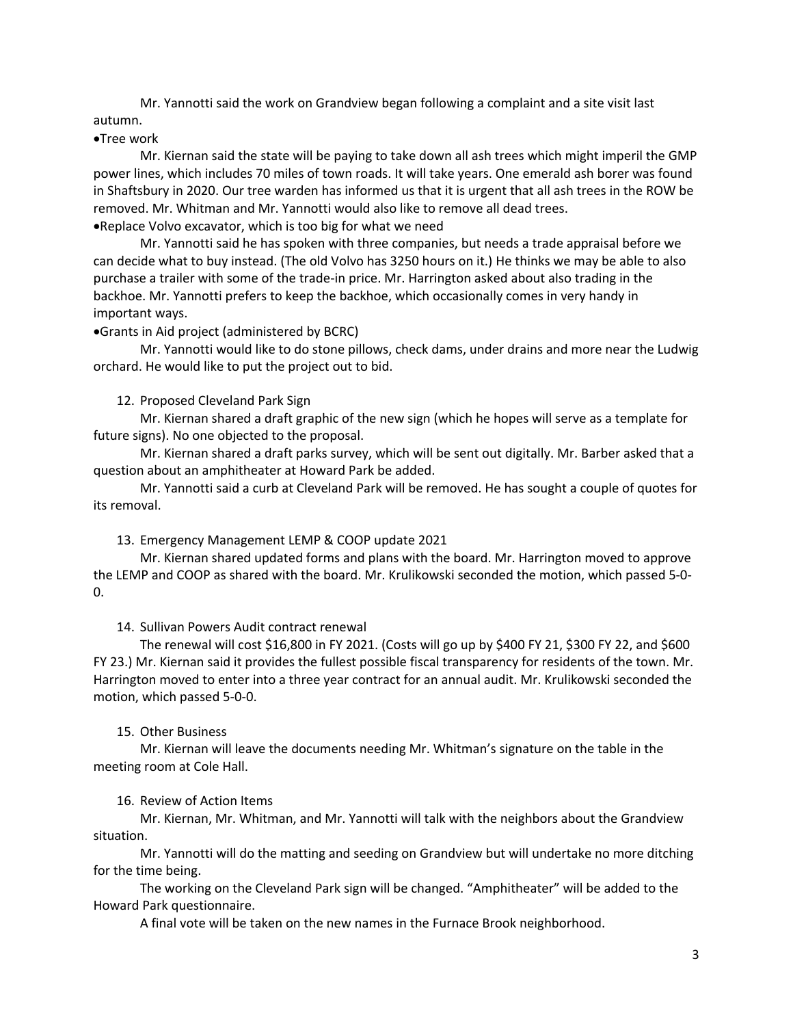Mr. Yannotti said the work on Grandview began following a complaint and a site visit last autumn.

### •Tree work

Mr. Kiernan said the state will be paying to take down all ash trees which might imperil the GMP power lines, which includes 70 miles of town roads. It will take years. One emerald ash borer was found in Shaftsbury in 2020. Our tree warden has informed us that it is urgent that all ash trees in the ROW be removed. Mr. Whitman and Mr. Yannotti would also like to remove all dead trees. •Replace Volvo excavator, which is too big for what we need

Mr. Yannotti said he has spoken with three companies, but needs a trade appraisal before we can decide what to buy instead. (The old Volvo has 3250 hours on it.) He thinks we may be able to also purchase a trailer with some of the trade-in price. Mr. Harrington asked about also trading in the backhoe. Mr. Yannotti prefers to keep the backhoe, which occasionally comes in very handy in important ways.

•Grants in Aid project (administered by BCRC)

Mr. Yannotti would like to do stone pillows, check dams, under drains and more near the Ludwig orchard. He would like to put the project out to bid.

### 12. Proposed Cleveland Park Sign

Mr. Kiernan shared a draft graphic of the new sign (which he hopes will serve as a template for future signs). No one objected to the proposal.

Mr. Kiernan shared a draft parks survey, which will be sent out digitally. Mr. Barber asked that a question about an amphitheater at Howard Park be added.

Mr. Yannotti said a curb at Cleveland Park will be removed. He has sought a couple of quotes for its removal.

13. Emergency Management LEMP & COOP update 2021

Mr. Kiernan shared updated forms and plans with the board. Mr. Harrington moved to approve the LEMP and COOP as shared with the board. Mr. Krulikowski seconded the motion, which passed 5-0- 0.

14. Sullivan Powers Audit contract renewal

The renewal will cost \$16,800 in FY 2021. (Costs will go up by \$400 FY 21, \$300 FY 22, and \$600 FY 23.) Mr. Kiernan said it provides the fullest possible fiscal transparency for residents of the town. Mr. Harrington moved to enter into a three year contract for an annual audit. Mr. Krulikowski seconded the motion, which passed 5-0-0.

#### 15. Other Business

Mr. Kiernan will leave the documents needing Mr. Whitman's signature on the table in the meeting room at Cole Hall.

16. Review of Action Items

Mr. Kiernan, Mr. Whitman, and Mr. Yannotti will talk with the neighbors about the Grandview situation.

Mr. Yannotti will do the matting and seeding on Grandview but will undertake no more ditching for the time being.

The working on the Cleveland Park sign will be changed. "Amphitheater" will be added to the Howard Park questionnaire.

A final vote will be taken on the new names in the Furnace Brook neighborhood.